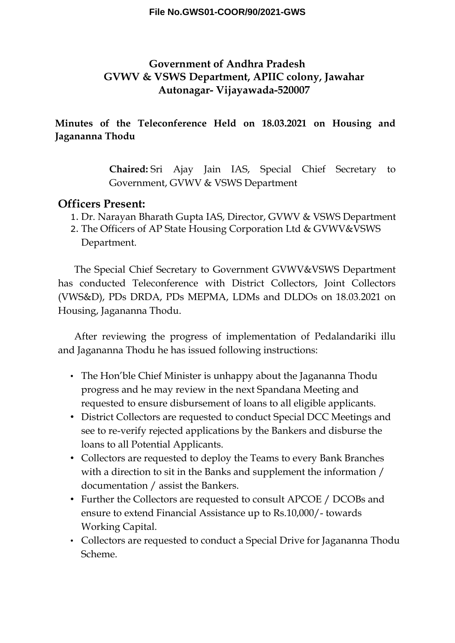# **Government of Andhra Pradesh GVWV & VSWS Department, APIIC colony, Jawahar Autonagar- Vijayawada-520007**

## **Minutes of the Teleconference Held on 18.03.2021 on Housing and Jagananna Thodu**

**Chaired:** Sri Ajay Jain IAS, Special Chief Secretary to Government, GVWV & VSWS Department

## **Officers Present:**

- 1. Dr. Narayan Bharath Gupta IAS, Director, GVWV & VSWS Department
- 2. The Officers of AP State Housing Corporation Ltd & GVWV&VSWS Department.

The Special Chief Secretary to Government GVWV&VSWS Department has conducted Teleconference with District Collectors, Joint Collectors (VWS&D), PDs DRDA, PDs MEPMA, LDMs and DLDOs on 18.03.2021 on Housing, Jagananna Thodu.

After reviewing the progress of implementation of Pedalandariki illu and Jagananna Thodu he has issued following instructions:

- The Hon'ble Chief Minister is unhappy about the Jagananna Thodu progress and he may review in the next Spandana Meeting and requested to ensure disbursement of loans to all eligible applicants.
- District Collectors are requested to conduct Special DCC Meetings and see to re-verify rejected applications by the Bankers and disburse the loans to all Potential Applicants.
- Collectors are requested to deploy the Teams to every Bank Branches with a direction to sit in the Banks and supplement the information / documentation / assist the Bankers.
- Further the Collectors are requested to consult APCOE / DCOBs and ensure to extend Financial Assistance up to Rs.10,000/- towards Working Capital.
- Collectors are requested to conduct a Special Drive for Jagananna Thodu Scheme.